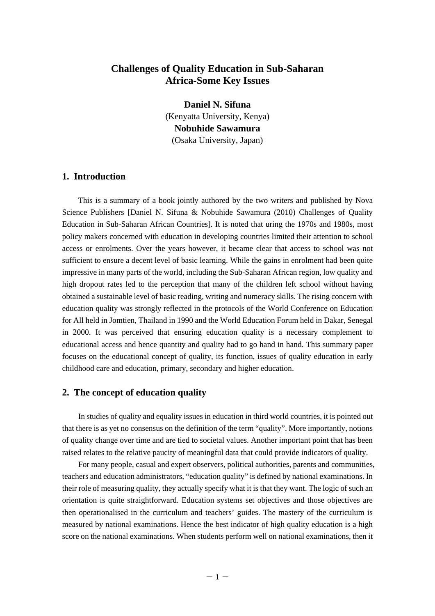# **Challenges of Quality Education in Sub-Saharan Africa-Some Key Issues**

**Daniel N. Sifuna**  (Kenyatta University, Kenya) **Nobuhide Sawamura**  (Osaka University, Japan)

# **1. Introduction**

This is a summary of a book jointly authored by the two writers and published by Nova Science Publishers [Daniel N. Sifuna & Nobuhide Sawamura (2010) Challenges of Quality Education in Sub-Saharan African Countries]. It is noted that uring the 1970s and 1980s, most policy makers concerned with education in developing countries limited their attention to school access or enrolments. Over the years however, it became clear that access to school was not sufficient to ensure a decent level of basic learning. While the gains in enrolment had been quite impressive in many parts of the world, including the Sub-Saharan African region, low quality and high dropout rates led to the perception that many of the children left school without having obtained a sustainable level of basic reading, writing and numeracy skills. The rising concern with education quality was strongly reflected in the protocols of the World Conference on Education for All held in Jomtien, Thailand in 1990 and the World Education Forum held in Dakar, Senegal in 2000. It was perceived that ensuring education quality is a necessary complement to educational access and hence quantity and quality had to go hand in hand. This summary paper focuses on the educational concept of quality, its function, issues of quality education in early childhood care and education, primary, secondary and higher education.

#### **2. The concept of education quality**

In studies of quality and equality issues in education in third world countries, it is pointed out that there is as yet no consensus on the definition of the term "quality". More importantly, notions of quality change over time and are tied to societal values. Another important point that has been raised relates to the relative paucity of meaningful data that could provide indicators of quality.

For many people, casual and expert observers, political authorities, parents and communities, teachers and education administrators, "education quality" is defined by national examinations. In their role of measuring quality, they actually specify what it is that they want. The logic of such an orientation is quite straightforward. Education systems set objectives and those objectives are then operationalised in the curriculum and teachers' guides. The mastery of the curriculum is measured by national examinations. Hence the best indicator of high quality education is a high score on the national examinations. When students perform well on national examinations, then it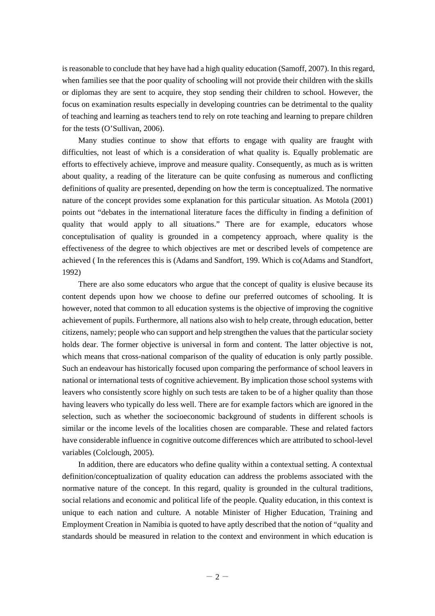is reasonable to conclude that hey have had a high quality education (Samoff, 2007). In this regard, when families see that the poor quality of schooling will not provide their children with the skills or diplomas they are sent to acquire, they stop sending their children to school. However, the focus on examination results especially in developing countries can be detrimental to the quality of teaching and learning as teachers tend to rely on rote teaching and learning to prepare children for the tests (O'Sullivan, 2006).

Many studies continue to show that efforts to engage with quality are fraught with difficulties, not least of which is a consideration of what quality is. Equally problematic are efforts to effectively achieve, improve and measure quality. Consequently, as much as is written about quality, a reading of the literature can be quite confusing as numerous and conflicting definitions of quality are presented, depending on how the term is conceptualized. The normative nature of the concept provides some explanation for this particular situation. As Motola (2001) points out "debates in the international literature faces the difficulty in finding a definition of quality that would apply to all situations." There are for example, educators whose conceptulisation of quality is grounded in a competency approach, where quality is the effectiveness of the degree to which objectives are met or described levels of competence are achieved ( In the references this is (Adams and Sandfort, 199. Which is co(Adams and Standfort, 1992)

There are also some educators who argue that the concept of quality is elusive because its content depends upon how we choose to define our preferred outcomes of schooling. It is however, noted that common to all education systems is the objective of improving the cognitive achievement of pupils. Furthermore, all nations also wish to help create, through education, better citizens, namely; people who can support and help strengthen the values that the particular society holds dear. The former objective is universal in form and content. The latter objective is not, which means that cross-national comparison of the quality of education is only partly possible. Such an endeavour has historically focused upon comparing the performance of school leavers in national or international tests of cognitive achievement. By implication those school systems with leavers who consistently score highly on such tests are taken to be of a higher quality than those having leavers who typically do less well. There are for example factors which are ignored in the selection, such as whether the socioeconomic background of students in different schools is similar or the income levels of the localities chosen are comparable. These and related factors have considerable influence in cognitive outcome differences which are attributed to school-level variables (Colclough, 2005).

In addition, there are educators who define quality within a contextual setting. A contextual definition/conceptualization of quality education can address the problems associated with the normative nature of the concept. In this regard, quality is grounded in the cultural traditions, social relations and economic and political life of the people. Quality education, in this context is unique to each nation and culture. A notable Minister of Higher Education, Training and Employment Creation in Namibia is quoted to have aptly described that the notion of "quality and standards should be measured in relation to the context and environment in which education is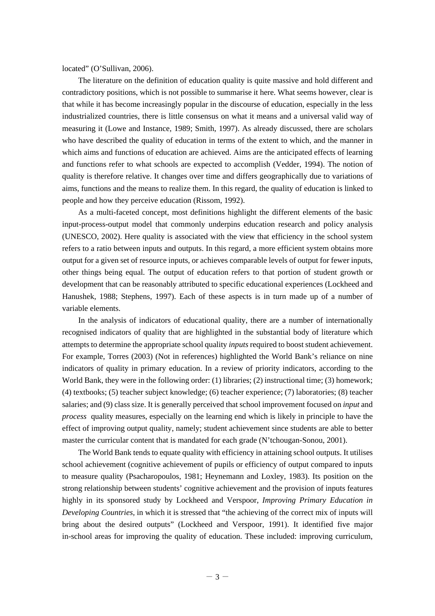located" (O'Sullivan, 2006).

The literature on the definition of education quality is quite massive and hold different and contradictory positions, which is not possible to summarise it here. What seems however, clear is that while it has become increasingly popular in the discourse of education, especially in the less industrialized countries, there is little consensus on what it means and a universal valid way of measuring it (Lowe and Instance, 1989; Smith, 1997). As already discussed, there are scholars who have described the quality of education in terms of the extent to which, and the manner in which aims and functions of education are achieved. Aims are the anticipated effects of learning and functions refer to what schools are expected to accomplish (Vedder, 1994). The notion of quality is therefore relative. It changes over time and differs geographically due to variations of aims, functions and the means to realize them. In this regard, the quality of education is linked to people and how they perceive education (Rissom, 1992).

As a multi-faceted concept, most definitions highlight the different elements of the basic input-process-output model that commonly underpins education research and policy analysis (UNESCO, 2002). Here quality is associated with the view that efficiency in the school system refers to a ratio between inputs and outputs. In this regard, a more efficient system obtains more output for a given set of resource inputs, or achieves comparable levels of output for fewer inputs, other things being equal. The output of education refers to that portion of student growth or development that can be reasonably attributed to specific educational experiences (Lockheed and Hanushek, 1988; Stephens, 1997). Each of these aspects is in turn made up of a number of variable elements.

In the analysis of indicators of educational quality, there are a number of internationally recognised indicators of quality that are highlighted in the substantial body of literature which attempts to determine the appropriate school quality *inputs* required to boost student achievement. For example, Torres (2003) (Not in references) highlighted the World Bank's reliance on nine indicators of quality in primary education. In a review of priority indicators, according to the World Bank, they were in the following order: (1) libraries; (2) instructional time; (3) homework; (4) textbooks; (5) teacher subject knowledge; (6) teacher experience; (7) laboratories; (8) teacher salaries; and (9) class size. It is generally perceived that school improvement focused on *input* and *process* quality measures, especially on the learning end which is likely in principle to have the effect of improving output quality, namely; student achievement since students are able to better master the curricular content that is mandated for each grade (N'tchougan-Sonou, 2001).

The World Bank tends to equate quality with efficiency in attaining school outputs. It utilises school achievement (cognitive achievement of pupils or efficiency of output compared to inputs to measure quality (Psacharopoulos, 1981; Heynemann and Loxley, 1983). Its position on the strong relationship between students' cognitive achievement and the provision of inputs features highly in its sponsored study by Lockheed and Verspoor, *Improving Primary Education in Developing Countries,* in which it is stressed that "the achieving of the correct mix of inputs will bring about the desired outputs" (Lockheed and Verspoor, 1991). It identified five major in-school areas for improving the quality of education. These included: improving curriculum,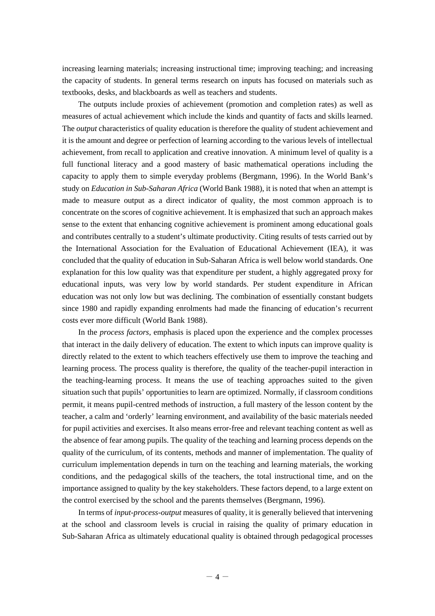increasing learning materials; increasing instructional time; improving teaching; and increasing the capacity of students. In general terms research on inputs has focused on materials such as textbooks, desks, and blackboards as well as teachers and students.

The outputs include proxies of achievement (promotion and completion rates) as well as measures of actual achievement which include the kinds and quantity of facts and skills learned. The *output* characteristics of quality education is therefore the quality of student achievement and it is the amount and degree or perfection of learning according to the various levels of intellectual achievement, from recall to application and creative innovation. A minimum level of quality is a full functional literacy and a good mastery of basic mathematical operations including the capacity to apply them to simple everyday problems (Bergmann, 1996). In the World Bank's study on *Education in Sub-Saharan Africa* (World Bank 1988), it is noted that when an attempt is made to measure output as a direct indicator of quality, the most common approach is to concentrate on the scores of cognitive achievement. It is emphasized that such an approach makes sense to the extent that enhancing cognitive achievement is prominent among educational goals and contributes centrally to a student's ultimate productivity. Citing results of tests carried out by the International Association for the Evaluation of Educational Achievement (IEA), it was concluded that the quality of education in Sub-Saharan Africa is well below world standards. One explanation for this low quality was that expenditure per student, a highly aggregated proxy for educational inputs, was very low by world standards. Per student expenditure in African education was not only low but was declining. The combination of essentially constant budgets since 1980 and rapidly expanding enrolments had made the financing of education's recurrent costs ever more difficult (World Bank 1988).

In the *process factors*, emphasis is placed upon the experience and the complex processes that interact in the daily delivery of education. The extent to which inputs can improve quality is directly related to the extent to which teachers effectively use them to improve the teaching and learning process. The process quality is therefore, the quality of the teacher-pupil interaction in the teaching-learning process. It means the use of teaching approaches suited to the given situation such that pupils' opportunities to learn are optimized. Normally, if classroom conditions permit, it means pupil-centred methods of instruction, a full mastery of the lesson content by the teacher, a calm and 'orderly' learning environment, and availability of the basic materials needed for pupil activities and exercises. It also means error-free and relevant teaching content as well as the absence of fear among pupils. The quality of the teaching and learning process depends on the quality of the curriculum, of its contents, methods and manner of implementation. The quality of curriculum implementation depends in turn on the teaching and learning materials, the working conditions, and the pedagogical skills of the teachers, the total instructional time, and on the importance assigned to quality by the key stakeholders. These factors depend, to a large extent on the control exercised by the school and the parents themselves (Bergmann, 1996).

In terms of *input-process-output* measures of quality, it is generally believed that intervening at the school and classroom levels is crucial in raising the quality of primary education in Sub-Saharan Africa as ultimately educational quality is obtained through pedagogical processes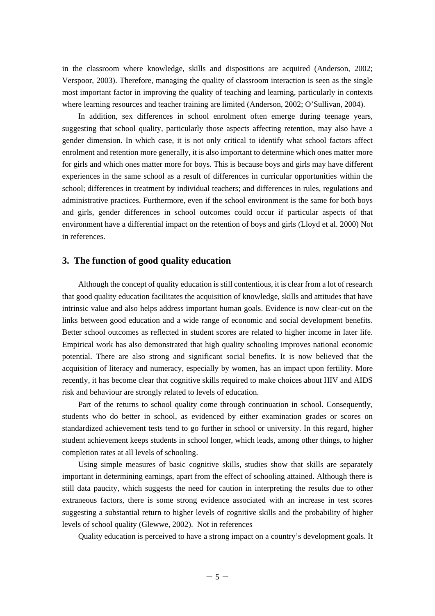in the classroom where knowledge, skills and dispositions are acquired (Anderson, 2002; Verspoor, 2003). Therefore, managing the quality of classroom interaction is seen as the single most important factor in improving the quality of teaching and learning, particularly in contexts where learning resources and teacher training are limited (Anderson, 2002; O'Sullivan, 2004).

In addition, sex differences in school enrolment often emerge during teenage years, suggesting that school quality, particularly those aspects affecting retention, may also have a gender dimension. In which case, it is not only critical to identify what school factors affect enrolment and retention more generally, it is also important to determine which ones matter more for girls and which ones matter more for boys. This is because boys and girls may have different experiences in the same school as a result of differences in curricular opportunities within the school; differences in treatment by individual teachers; and differences in rules, regulations and administrative practices. Furthermore, even if the school environment is the same for both boys and girls, gender differences in school outcomes could occur if particular aspects of that environment have a differential impact on the retention of boys and girls (Lloyd et al. 2000) Not in references.

## **3. The function of good quality education**

Although the concept of quality education is still contentious, it is clear from a lot of research that good quality education facilitates the acquisition of knowledge, skills and attitudes that have intrinsic value and also helps address important human goals. Evidence is now clear-cut on the links between good education and a wide range of economic and social development benefits. Better school outcomes as reflected in student scores are related to higher income in later life. Empirical work has also demonstrated that high quality schooling improves national economic potential. There are also strong and significant social benefits. It is now believed that the acquisition of literacy and numeracy, especially by women, has an impact upon fertility. More recently, it has become clear that cognitive skills required to make choices about HIV and AIDS risk and behaviour are strongly related to levels of education.

Part of the returns to school quality come through continuation in school. Consequently, students who do better in school, as evidenced by either examination grades or scores on standardized achievement tests tend to go further in school or university. In this regard, higher student achievement keeps students in school longer, which leads, among other things, to higher completion rates at all levels of schooling.

Using simple measures of basic cognitive skills, studies show that skills are separately important in determining earnings, apart from the effect of schooling attained. Although there is still data paucity, which suggests the need for caution in interpreting the results due to other extraneous factors, there is some strong evidence associated with an increase in test scores suggesting a substantial return to higher levels of cognitive skills and the probability of higher levels of school quality (Glewwe, 2002). Not in references

Quality education is perceived to have a strong impact on a country's development goals. It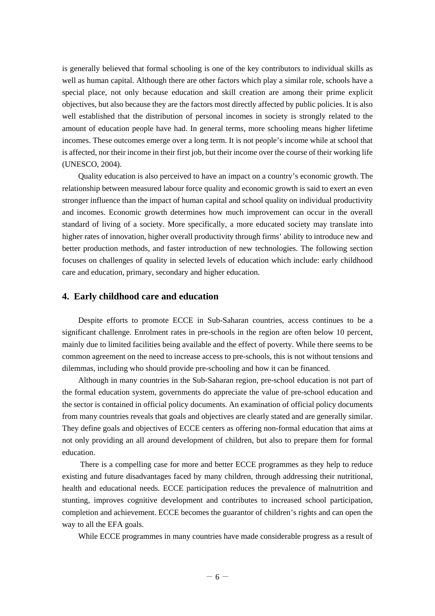is generally believed that formal schooling is one of the key contributors to individual skills as well as human capital. Although there are other factors which play a similar role, schools have a special place, not only because education and skill creation are among their prime explicit objectives, but also because they are the factors most directly affected by public policies. It is also well established that the distribution of personal incomes in society is strongly related to the amount of education people have had. In general terms, more schooling means higher lifetime incomes. These outcomes emerge over a long term. It is not people's income while at school that is affected, nor their income in their first job, but their income over the course of their working life (UNESCO, 2004).

Quality education is also perceived to have an impact on a country's economic growth. The relationship between measured labour force quality and economic growth is said to exert an even stronger influence than the impact of human capital and school quality on individual productivity and incomes. Economic growth determines how much improvement can occur in the overall standard of living of a society. More specifically, a more educated society may translate into higher rates of innovation, higher overall productivity through firms' ability to introduce new and better production methods, and faster introduction of new technologies. The following section focuses on challenges of quality in selected levels of education which include: early childhood care and education, primary, secondary and higher education.

#### **4. Early childhood care and education**

Despite efforts to promote ECCE in Sub-Saharan countries, access continues to be a significant challenge. Enrolment rates in pre-schools in the region are often below 10 percent, mainly due to limited facilities being available and the effect of poverty. While there seems to be common agreement on the need to increase access to pre-schools, this is not without tensions and dilemmas, including who should provide pre-schooling and how it can be financed.

Although in many countries in the Sub-Saharan region, pre-school education is not part of the formal education system, governments do appreciate the value of pre-school education and the sector is contained in official policy documents. An examination of official policy documents from many countries reveals that goals and objectives are clearly stated and are generally similar. They define goals and objectives of ECCE centers as offering non-formal education that aims at not only providing an all around development of children, but also to prepare them for formal education.

 There is a compelling case for more and better ECCE programmes as they help to reduce existing and future disadvantages faced by many children, through addressing their nutritional, health and educational needs. ECCE participation reduces the prevalence of malnutrition and stunting, improves cognitive development and contributes to increased school participation, completion and achievement. ECCE becomes the guarantor of children's rights and can open the way to all the EFA goals.

While ECCE programmes in many countries have made considerable progress as a result of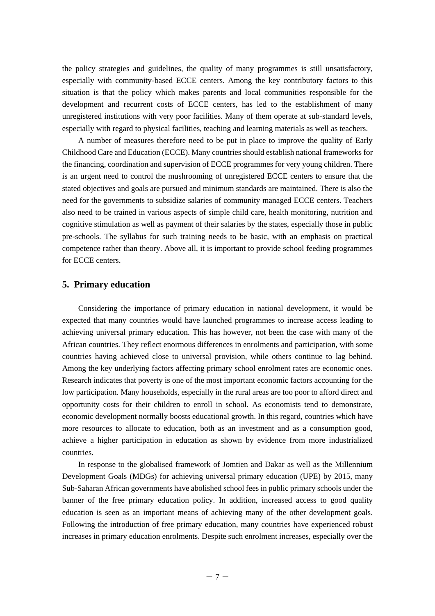the policy strategies and guidelines, the quality of many programmes is still unsatisfactory, especially with community-based ECCE centers. Among the key contributory factors to this situation is that the policy which makes parents and local communities responsible for the development and recurrent costs of ECCE centers, has led to the establishment of many unregistered institutions with very poor facilities. Many of them operate at sub-standard levels, especially with regard to physical facilities, teaching and learning materials as well as teachers.

A number of measures therefore need to be put in place to improve the quality of Early Childhood Care and Education (ECCE). Many countries should establish national frameworks for the financing, coordination and supervision of ECCE programmes for very young children. There is an urgent need to control the mushrooming of unregistered ECCE centers to ensure that the stated objectives and goals are pursued and minimum standards are maintained. There is also the need for the governments to subsidize salaries of community managed ECCE centers. Teachers also need to be trained in various aspects of simple child care, health monitoring, nutrition and cognitive stimulation as well as payment of their salaries by the states, especially those in public pre-schools. The syllabus for such training needs to be basic, with an emphasis on practical competence rather than theory. Above all, it is important to provide school feeding programmes for ECCE centers.

## **5. Primary education**

Considering the importance of primary education in national development, it would be expected that many countries would have launched programmes to increase access leading to achieving universal primary education. This has however, not been the case with many of the African countries. They reflect enormous differences in enrolments and participation, with some countries having achieved close to universal provision, while others continue to lag behind. Among the key underlying factors affecting primary school enrolment rates are economic ones. Research indicates that poverty is one of the most important economic factors accounting for the low participation. Many households, especially in the rural areas are too poor to afford direct and opportunity costs for their children to enroll in school. As economists tend to demonstrate, economic development normally boosts educational growth. In this regard, countries which have more resources to allocate to education, both as an investment and as a consumption good, achieve a higher participation in education as shown by evidence from more industrialized countries.

In response to the globalised framework of Jomtien and Dakar as well as the Millennium Development Goals (MDGs) for achieving universal primary education (UPE) by 2015, many Sub-Saharan African governments have abolished school fees in public primary schools under the banner of the free primary education policy. In addition, increased access to good quality education is seen as an important means of achieving many of the other development goals. Following the introduction of free primary education, many countries have experienced robust increases in primary education enrolments. Despite such enrolment increases, especially over the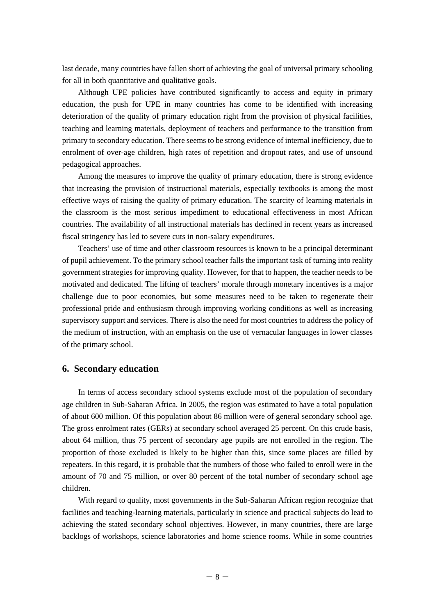last decade, many countries have fallen short of achieving the goal of universal primary schooling for all in both quantitative and qualitative goals.

Although UPE policies have contributed significantly to access and equity in primary education, the push for UPE in many countries has come to be identified with increasing deterioration of the quality of primary education right from the provision of physical facilities, teaching and learning materials, deployment of teachers and performance to the transition from primary to secondary education. There seems to be strong evidence of internal inefficiency, due to enrolment of over-age children, high rates of repetition and dropout rates, and use of unsound pedagogical approaches.

Among the measures to improve the quality of primary education, there is strong evidence that increasing the provision of instructional materials, especially textbooks is among the most effective ways of raising the quality of primary education. The scarcity of learning materials in the classroom is the most serious impediment to educational effectiveness in most African countries. The availability of all instructional materials has declined in recent years as increased fiscal stringency has led to severe cuts in non-salary expenditures.

Teachers' use of time and other classroom resources is known to be a principal determinant of pupil achievement. To the primary school teacher falls the important task of turning into reality government strategies for improving quality. However, for that to happen, the teacher needs to be motivated and dedicated. The lifting of teachers' morale through monetary incentives is a major challenge due to poor economies, but some measures need to be taken to regenerate their professional pride and enthusiasm through improving working conditions as well as increasing supervisory support and services. There is also the need for most countries to address the policy of the medium of instruction, with an emphasis on the use of vernacular languages in lower classes of the primary school.

#### **6. Secondary education**

In terms of access secondary school systems exclude most of the population of secondary age children in Sub-Saharan Africa. In 2005, the region was estimated to have a total population of about 600 million. Of this population about 86 million were of general secondary school age. The gross enrolment rates (GERs) at secondary school averaged 25 percent. On this crude basis, about 64 million, thus 75 percent of secondary age pupils are not enrolled in the region. The proportion of those excluded is likely to be higher than this, since some places are filled by repeaters. In this regard, it is probable that the numbers of those who failed to enroll were in the amount of 70 and 75 million, or over 80 percent of the total number of secondary school age children.

With regard to quality, most governments in the Sub-Saharan African region recognize that facilities and teaching-learning materials, particularly in science and practical subjects do lead to achieving the stated secondary school objectives. However, in many countries, there are large backlogs of workshops, science laboratories and home science rooms. While in some countries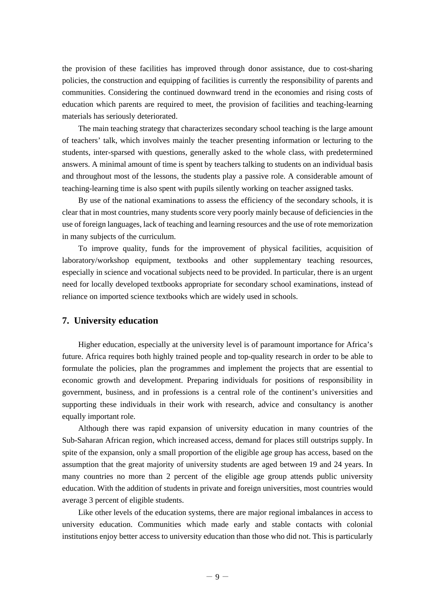the provision of these facilities has improved through donor assistance, due to cost-sharing policies, the construction and equipping of facilities is currently the responsibility of parents and communities. Considering the continued downward trend in the economies and rising costs of education which parents are required to meet, the provision of facilities and teaching-learning materials has seriously deteriorated.

The main teaching strategy that characterizes secondary school teaching is the large amount of teachers' talk, which involves mainly the teacher presenting information or lecturing to the students, inter-sparsed with questions, generally asked to the whole class, with predetermined answers. A minimal amount of time is spent by teachers talking to students on an individual basis and throughout most of the lessons, the students play a passive role. A considerable amount of teaching-learning time is also spent with pupils silently working on teacher assigned tasks.

By use of the national examinations to assess the efficiency of the secondary schools, it is clear that in most countries, many students score very poorly mainly because of deficiencies in the use of foreign languages, lack of teaching and learning resources and the use of rote memorization in many subjects of the curriculum.

To improve quality, funds for the improvement of physical facilities, acquisition of laboratory/workshop equipment, textbooks and other supplementary teaching resources, especially in science and vocational subjects need to be provided. In particular, there is an urgent need for locally developed textbooks appropriate for secondary school examinations, instead of reliance on imported science textbooks which are widely used in schools.

#### **7. University education**

Higher education, especially at the university level is of paramount importance for Africa's future. Africa requires both highly trained people and top-quality research in order to be able to formulate the policies, plan the programmes and implement the projects that are essential to economic growth and development. Preparing individuals for positions of responsibility in government, business, and in professions is a central role of the continent's universities and supporting these individuals in their work with research, advice and consultancy is another equally important role.

Although there was rapid expansion of university education in many countries of the Sub-Saharan African region, which increased access, demand for places still outstrips supply. In spite of the expansion, only a small proportion of the eligible age group has access, based on the assumption that the great majority of university students are aged between 19 and 24 years. In many countries no more than 2 percent of the eligible age group attends public university education. With the addition of students in private and foreign universities, most countries would average 3 percent of eligible students.

Like other levels of the education systems, there are major regional imbalances in access to university education. Communities which made early and stable contacts with colonial institutions enjoy better access to university education than those who did not. This is particularly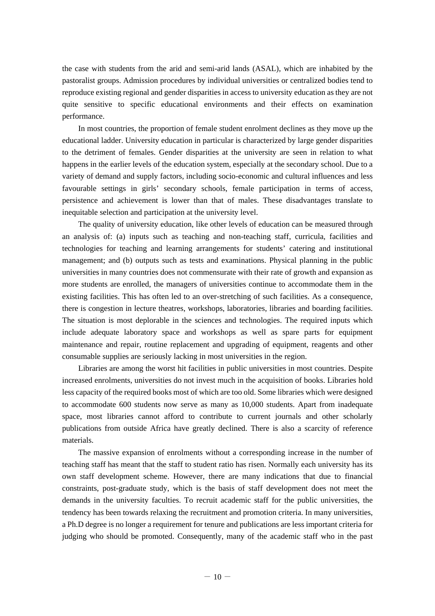the case with students from the arid and semi-arid lands (ASAL), which are inhabited by the pastoralist groups. Admission procedures by individual universities or centralized bodies tend to reproduce existing regional and gender disparities in access to university education as they are not quite sensitive to specific educational environments and their effects on examination performance.

In most countries, the proportion of female student enrolment declines as they move up the educational ladder. University education in particular is characterized by large gender disparities to the detriment of females. Gender disparities at the university are seen in relation to what happens in the earlier levels of the education system, especially at the secondary school. Due to a variety of demand and supply factors, including socio-economic and cultural influences and less favourable settings in girls' secondary schools, female participation in terms of access, persistence and achievement is lower than that of males. These disadvantages translate to inequitable selection and participation at the university level.

The quality of university education, like other levels of education can be measured through an analysis of: (a) inputs such as teaching and non-teaching staff, curricula, facilities and technologies for teaching and learning arrangements for students' catering and institutional management; and (b) outputs such as tests and examinations. Physical planning in the public universities in many countries does not commensurate with their rate of growth and expansion as more students are enrolled, the managers of universities continue to accommodate them in the existing facilities. This has often led to an over-stretching of such facilities. As a consequence, there is congestion in lecture theatres, workshops, laboratories, libraries and boarding facilities. The situation is most deplorable in the sciences and technologies. The required inputs which include adequate laboratory space and workshops as well as spare parts for equipment maintenance and repair, routine replacement and upgrading of equipment, reagents and other consumable supplies are seriously lacking in most universities in the region.

Libraries are among the worst hit facilities in public universities in most countries. Despite increased enrolments, universities do not invest much in the acquisition of books. Libraries hold less capacity of the required books most of which are too old. Some libraries which were designed to accommodate 600 students now serve as many as 10,000 students. Apart from inadequate space, most libraries cannot afford to contribute to current journals and other scholarly publications from outside Africa have greatly declined. There is also a scarcity of reference materials.

The massive expansion of enrolments without a corresponding increase in the number of teaching staff has meant that the staff to student ratio has risen. Normally each university has its own staff development scheme. However, there are many indications that due to financial constraints, post-graduate study, which is the basis of staff development does not meet the demands in the university faculties. To recruit academic staff for the public universities, the tendency has been towards relaxing the recruitment and promotion criteria. In many universities, a Ph.D degree is no longer a requirement for tenure and publications are less important criteria for judging who should be promoted. Consequently, many of the academic staff who in the past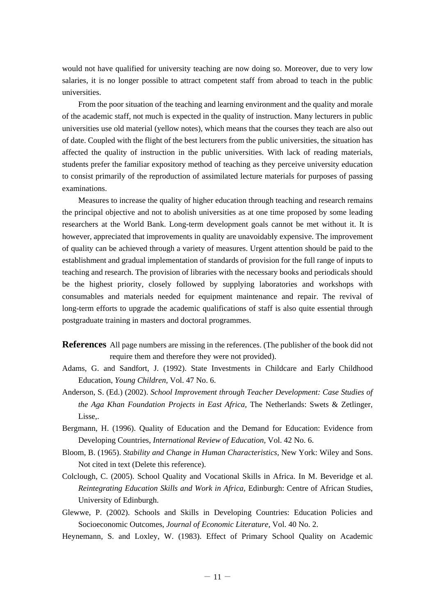would not have qualified for university teaching are now doing so. Moreover, due to very low salaries, it is no longer possible to attract competent staff from abroad to teach in the public universities.

From the poor situation of the teaching and learning environment and the quality and morale of the academic staff, not much is expected in the quality of instruction. Many lecturers in public universities use old material (yellow notes), which means that the courses they teach are also out of date. Coupled with the flight of the best lecturers from the public universities, the situation has affected the quality of instruction in the public universities. With lack of reading materials, students prefer the familiar expository method of teaching as they perceive university education to consist primarily of the reproduction of assimilated lecture materials for purposes of passing examinations.

Measures to increase the quality of higher education through teaching and research remains the principal objective and not to abolish universities as at one time proposed by some leading researchers at the World Bank. Long-term development goals cannot be met without it. It is however, appreciated that improvements in quality are unavoidably expensive. The improvement of quality can be achieved through a variety of measures. Urgent attention should be paid to the establishment and gradual implementation of standards of provision for the full range of inputs to teaching and research. The provision of libraries with the necessary books and periodicals should be the highest priority, closely followed by supplying laboratories and workshops with consumables and materials needed for equipment maintenance and repair. The revival of long-term efforts to upgrade the academic qualifications of staff is also quite essential through postgraduate training in masters and doctoral programmes.

**References** All page numbers are missing in the references. (The publisher of the book did not require them and therefore they were not provided).

- Adams, G. and Sandfort, J. (1992). State Investments in Childcare and Early Childhood Education, *Young Children,* Vol. 47 No. 6.
- Anderson, S. (Ed.) (2002). *School Improvement through Teacher Development: Case Studies of the Aga Khan Foundation Projects in East Africa,* The Netherlands: Swets & Zetlinger, Lisse,.
- Bergmann, H. (1996). Quality of Education and the Demand for Education: Evidence from Developing Countries, *International Review of Education,* Vol. 42 No. 6.
- Bloom, B. (1965). *Stability and Change in Human Characteristics,* New York: Wiley and Sons. Not cited in text (Delete this reference).
- Colclough, C. (2005). School Quality and Vocational Skills in Africa. In M. Beveridge et al. *Reintegrating Education Skills and Work in Africa,* Edinburgh: Centre of African Studies, University of Edinburgh.
- Glewwe, P. (2002). Schools and Skills in Developing Countries: Education Policies and Socioeconomic Outcomes, *Journal of Economic Literature,* Vol. 40 No. 2.
- Heynemann, S. and Loxley, W. (1983). Effect of Primary School Quality on Academic